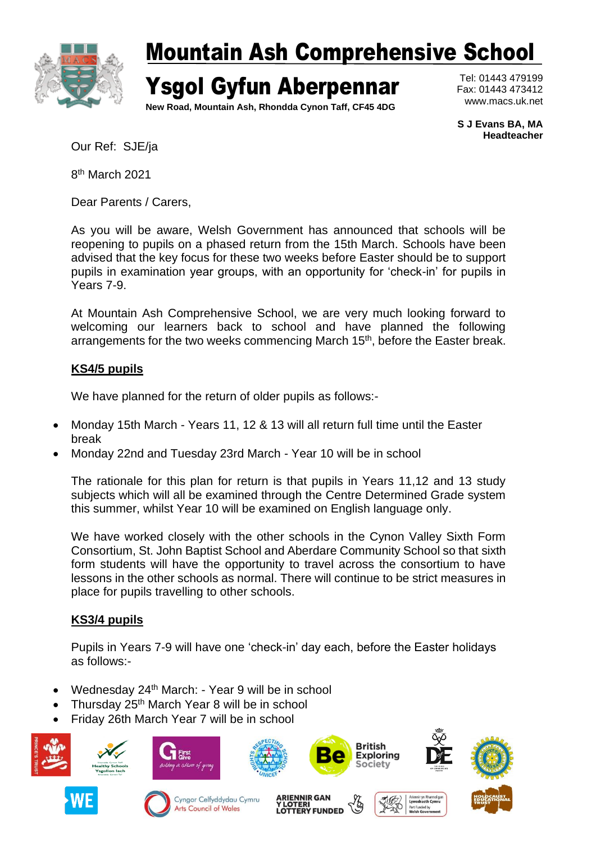

## Mountain Ash Comprehensive School

Ysgol Gyfun Aberpennar

**New Road, Mountain Ash, Rhondda Cynon Taff, CF45 4DG**

Tel: 01443 479199 Fax: 01443 473412 www.macs.uk.net

**S J Evans BA, MA Headteacher**

Our Ref: SJE/ja

8<sup>th</sup> March 2021

Dear Parents / Carers,

As you will be aware, Welsh Government has announced that schools will be reopening to pupils on a phased return from the 15th March. Schools have been advised that the key focus for these two weeks before Easter should be to support pupils in examination year groups, with an opportunity for 'check-in' for pupils in Years 7-9.

At Mountain Ash Comprehensive School, we are very much looking forward to welcoming our learners back to school and have planned the following arrangements for the two weeks commencing March 15<sup>th</sup>, before the Easter break.

### **KS4/5 pupils**

We have planned for the return of older pupils as follows:-

- Monday 15th March Years 11, 12 & 13 will all return full time until the Easter break
- Monday 22nd and Tuesday 23rd March Year 10 will be in school

The rationale for this plan for return is that pupils in Years 11,12 and 13 study subjects which will all be examined through the Centre Determined Grade system this summer, whilst Year 10 will be examined on English language only.

We have worked closely with the other schools in the Cynon Valley Sixth Form Consortium, St. John Baptist School and Aberdare Community School so that sixth form students will have the opportunity to travel across the consortium to have lessons in the other schools as normal. There will continue to be strict measures in place for pupils travelling to other schools.

## **KS3/4 pupils**

Pupils in Years 7-9 will have one 'check-in' day each, before the Easter holidays as follows:-

- Wednesday 24<sup>th</sup> March: Year 9 will be in school
- Thursday 25<sup>th</sup> March Year 8 will be in school
- Friday 26th March Year 7 will be in school

















**ARIENNIR GAN<br>Y LOTERI LOTTERY FUNDED**